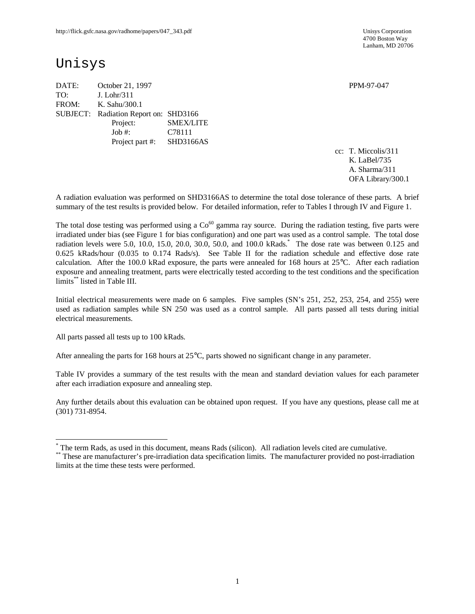4700 Boston Way Lanham, MD 20706

# Unisys

DATE: October 21, 1997 PPM-97-047 TO: J. Lohr/311 FROM: K. Sahu/300.1 SUBJECT: Radiation Report on: SHD3166 Project: SMEX/LITE Job #: C78111 Project part #: SHD3166AS

cc: T. Miccolis/311 K. LaBel/735 A. Sharma/311 OFA Library/300.1

A radiation evaluation was performed on SHD3166AS to determine the total dose tolerance of these parts. A brief summary of the test results is provided below. For detailed information, refer to Tables I through IV and Figure 1.

The total dose testing was performed using a  $Co<sup>60</sup>$  gamma ray source. During the radiation testing, five parts were irradiated under bias (see Figure 1 for bias configuration) and one part was used as a control sample. The total dose radiation levels were 5.0, 10.0, 15.0, 20.0, 30.0, 50.0, and 100.0 kRads.\* The dose rate was between 0.125 and 0.625 kRads/hour (0.035 to 0.174 Rads/s). See Table II for the radiation schedule and effective dose rate calculation. After the 100.0 kRad exposure, the parts were annealed for 168 hours at 25°C. After each radiation exposure and annealing treatment, parts were electrically tested according to the test conditions and the specification limits\*\* listed in Table III.

Initial electrical measurements were made on 6 samples. Five samples (SN's 251, 252, 253, 254, and 255) were used as radiation samples while SN 250 was used as a control sample. All parts passed all tests during initial electrical measurements.

All parts passed all tests up to 100 kRads.

 $\overline{a}$ 

After annealing the parts for 168 hours at 25°C, parts showed no significant change in any parameter.

Table IV provides a summary of the test results with the mean and standard deviation values for each parameter after each irradiation exposure and annealing step.

Any further details about this evaluation can be obtained upon request. If you have any questions, please call me at (301) 731-8954.

<sup>\*</sup> The term Rads, as used in this document, means Rads (silicon). All radiation levels cited are cumulative.

<sup>\*\*</sup> These are manufacturer's pre-irradiation data specification limits. The manufacturer provided no post-irradiation limits at the time these tests were performed.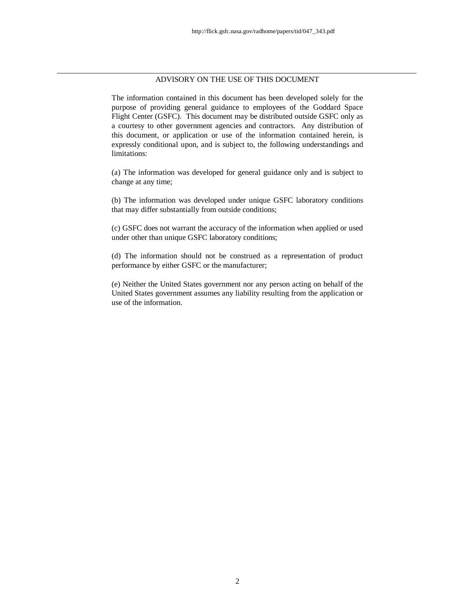#### \_\_\_\_\_\_\_\_\_\_\_\_\_\_\_\_\_\_\_\_\_\_\_\_\_\_\_\_\_\_\_\_\_\_\_\_\_\_\_\_\_\_\_\_\_\_\_\_\_\_\_\_\_\_\_\_\_\_\_\_\_\_\_\_\_\_\_\_\_\_\_\_\_\_\_\_\_\_\_\_\_\_\_\_\_\_\_\_\_\_\_\_ ADVISORY ON THE USE OF THIS DOCUMENT

The information contained in this document has been developed solely for the purpose of providing general guidance to employees of the Goddard Space Flight Center (GSFC). This document may be distributed outside GSFC only as a courtesy to other government agencies and contractors. Any distribution of this document, or application or use of the information contained herein, is expressly conditional upon, and is subject to, the following understandings and limitations:

(a) The information was developed for general guidance only and is subject to change at any time;

(b) The information was developed under unique GSFC laboratory conditions that may differ substantially from outside conditions;

(c) GSFC does not warrant the accuracy of the information when applied or used under other than unique GSFC laboratory conditions;

(d) The information should not be construed as a representation of product performance by either GSFC or the manufacturer;

(e) Neither the United States government nor any person acting on behalf of the United States government assumes any liability resulting from the application or use of the information.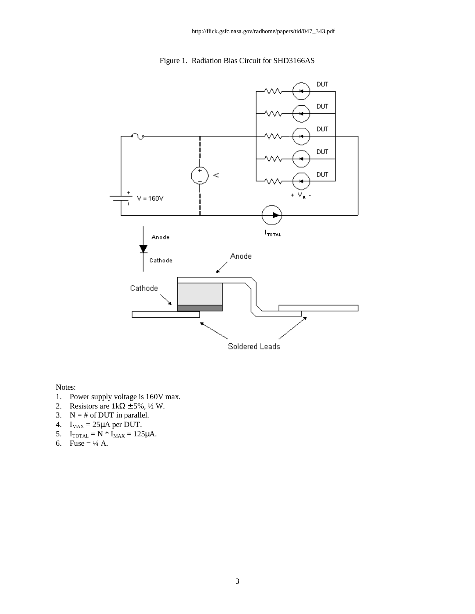## Figure 1. Radiation Bias Circuit for SHD3166AS



Notes:

- 1. Power supply voltage is 160V max.
- 2. Resistors are  $1k\Omega \pm 5\%, \frac{1}{2}W$ .
- 3.  $N = #$  of DUT in parallel.
- 4.  $I_{MAX} = 25\mu A$  per DUT.
- 5.  $I_{\text{TOTAL}} = N * I_{\text{MAX}} = 125 \mu \text{A}.$
- 6. Fuse =  $\frac{1}{4}$  A.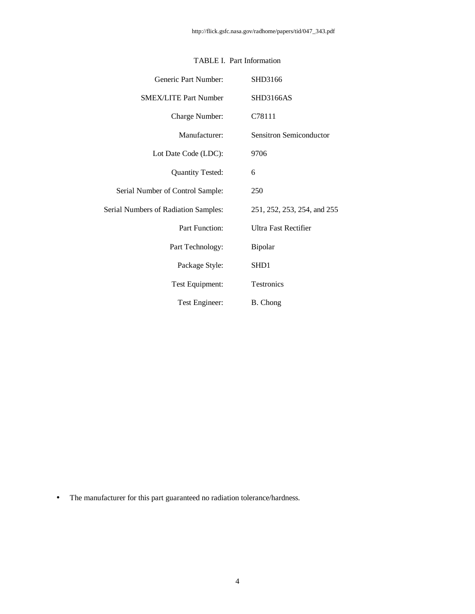| Generic Part Number:                        | SHD3166                     |
|---------------------------------------------|-----------------------------|
| <b>SMEX/LITE Part Number</b>                | <b>SHD3166AS</b>            |
| Charge Number:                              | C78111                      |
| Manufacturer:                               | Sensitron Semiconductor     |
| Lot Date Code (LDC):                        | 9706                        |
| <b>Quantity Tested:</b>                     | 6                           |
| Serial Number of Control Sample:            | 250                         |
| <b>Serial Numbers of Radiation Samples:</b> | 251, 252, 253, 254, and 255 |
| Part Function:                              | <b>Ultra Fast Rectifier</b> |
| Part Technology:                            | Bipolar                     |
| Package Style:                              | SH <sub>D</sub> 1           |
| Test Equipment:                             | Testronics                  |
| Test Engineer:                              | B. Chong                    |

## TABLE I. Part Information

• The manufacturer for this part guaranteed no radiation tolerance/hardness.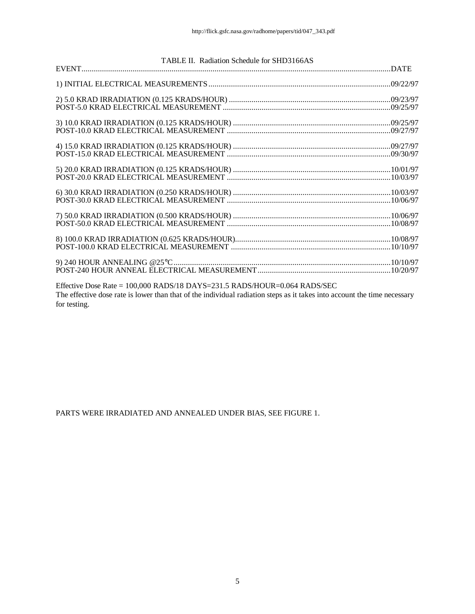|              | TABLE II. Radiation Schedule for SHD3166AS                                                                                                                                                            |  |
|--------------|-------------------------------------------------------------------------------------------------------------------------------------------------------------------------------------------------------|--|
|              |                                                                                                                                                                                                       |  |
|              |                                                                                                                                                                                                       |  |
|              |                                                                                                                                                                                                       |  |
|              |                                                                                                                                                                                                       |  |
|              |                                                                                                                                                                                                       |  |
|              |                                                                                                                                                                                                       |  |
|              |                                                                                                                                                                                                       |  |
|              |                                                                                                                                                                                                       |  |
|              |                                                                                                                                                                                                       |  |
|              |                                                                                                                                                                                                       |  |
| for testing. | Effective Dose Rate = 100,000 RADS/18 DAYS=231.5 RADS/HOUR=0.064 RADS/SEC<br>The effective dose rate is lower than that of the individual radiation steps as it takes into account the time necessary |  |

PARTS WERE IRRADIATED AND ANNEALED UNDER BIAS, SEE FIGURE 1.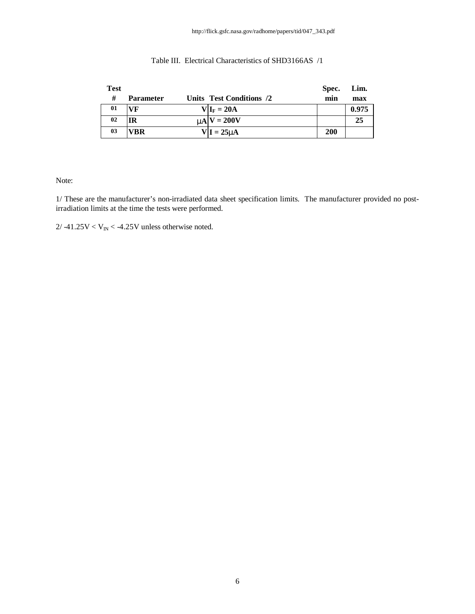| <b>Test</b> |                  |                          | Spec.      | Lim.  |
|-------------|------------------|--------------------------|------------|-------|
| #           | <b>Parameter</b> | Units Test Conditions /2 | min        | max   |
| 01          | VF               | $V I_F = 20A$            |            | 0.975 |
| 02          | ΙR               | $mN = 200V$              |            | 25    |
| 03          | VBR              | $V I = 25mA$             | <b>200</b> |       |

### Table III. Electrical Characteristics of SHD3166AS /1

Note:

1/ These are the manufacturer's non-irradiated data sheet specification limits. The manufacturer provided no postirradiation limits at the time the tests were performed.

 $2/ -41.25V < V_{IN} < -4.25V$  unless otherwise noted.